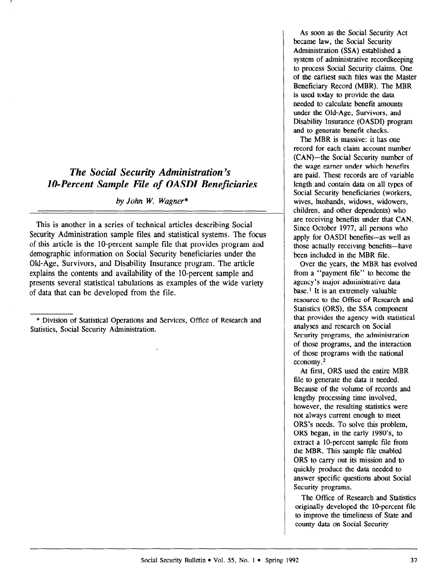# The Social Security Administration's IO-Percent Sample File of OASDI Beneficiaries

by John W. Wagner\*

This is another in a series of technical articles describing Social Security Administration sample files and statistical systems. The focus of this article is the lo-percent sample file that provides program and demographic information on Social Security beneficiaries under the Old-Age, Survivors, and Disability Insurance program. The article explains the contents and availability of the 10-percent sample and presents several statistical tabulations as examples of the wide variety of data that can be developed from the file.

\* Division of Statistical Operations and Services, Office of Research and Statistics, Social Security Administration.

As soon as the Social Security Act became law. the Social Security Administration (SSA) established a system of administrative recordkeeping to process Social Security claims. One of the earliest such files was the Master Beneficiary Record (MBR). The MBR is used today to provide the data needed to calculate benefit amounts under the Old-Age, Survivors, and Disability Insurance (OASDI) program and to generate benefit checks.

The MBR is massive: it has one record for each claim account number (CAN)-the Social Security number of the wage earner under which benefits are paid. These records are of variable length and contain data on all types of Social Security beneficiaries (workers, wives, husbands, widows, widowers, children, and other dependents) who are receiving benefits under that CAN. Since October 1977, all persons who apply for OASDI benefits-as well as those actually receiving benefits-have been included in the MBR file.

Over the years, the MBR has evolved from a "payment file" to become the agency's major administrative data base.<sup>1</sup> It is an extremely valuable resource to the Office of Research and Statistics (ORS), the SSA component that provides the agency with statistical analyses and research on Social Security programs, the administration of those programs, and the interaction of those programs with the national economy. 2

At first, ORS used the entire MBR file to generate the data it needed. Because of the volume of records and lengthy processing time involved, however, the resulting statistics were not always current enough to meet ORS's needs. To solve this problem, ORS began, in the early 1980's, to extract a lo-percent sample file from the MBR. This sample file enabled ORS to carry out its mission and to quickly produce the data needed to answer specific questions about Social Security programs.

The Office of Research and Statistics THE OTHER OF RESEARCH AND STADSHES originally developed the to-percent in to improve the timeliness of State and<br>county data on Social Security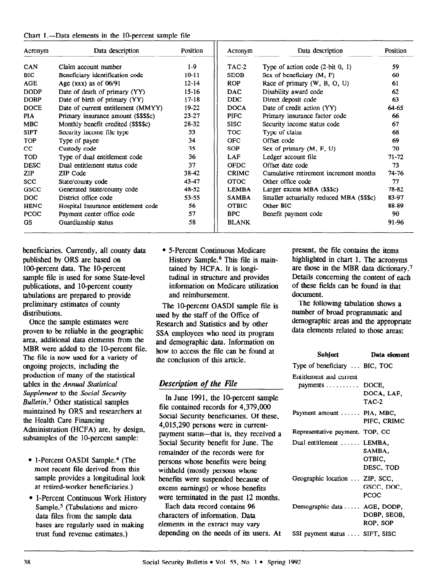|  |  |  |  |  | Chart 1.--Data elements in the 10-percent sample file |  |  |
|--|--|--|--|--|-------------------------------------------------------|--|--|
|--|--|--|--|--|-------------------------------------------------------|--|--|

| Acronym     | Data description                     | Position  | Acronym      | Data description                          | Position  |
|-------------|--------------------------------------|-----------|--------------|-------------------------------------------|-----------|
| CAN         | Claim account number                 | $1-9$     | $TAC-2$      | Type of action code $(2-bit 0, 1)$        | 59        |
| <b>BIC</b>  | Beneficiary identification code      | $10 - 11$ | <b>SEOB</b>  | Sex of beneficiary (M, F)                 | 60        |
| <b>AGE</b>  | Age $(xxx)$ as of 06/91              | $12 - 14$ | <b>ROP</b>   | Race of primary (W, B, O, U)              | 61        |
| <b>DODP</b> | Date of death of primary (YY)        | $15 - 16$ | DAC.         | Disability award code                     | 62        |
| <b>DOBP</b> | Date of birth of primary (YY)        | $17 - 18$ | DDC.         | Direct deposit code                       | 63        |
| <b>DOCE</b> | Date of current entitlement (MMYY)   | $19-22$   | <b>DOCA</b>  | Date of credit action (YY)                | 64-65     |
| <b>PIA</b>  | Primary insurance amount (\$\$\$\$c) | $23 - 27$ | <b>PIFC</b>  | Primary insurance factor code             | 66        |
| <b>MBC</b>  | Monthly benefit credited (\$\$\$\$c) | 28-32     | <b>SISC</b>  | Security income status code               | 67        |
| <b>SIFT</b> | Security income file type            | 33        | TOC .        | Type of claim                             | 68        |
| <b>TOP</b>  | Type of payee                        | 34        | <b>OFC</b>   | Offset code                               | 69        |
| cc          | Custody code                         | 35        | SOP          | Sex of primary $(M, F, U)$                | 70        |
| <b>TOD</b>  | Type of dual entitlement code        | 36        | <b>LAF</b>   | Ledger account file                       | $71 - 72$ |
| <b>DESC</b> | Dual entitlement status code         | 37        | <b>OFDC</b>  | Offset date code                          | 73        |
| <b>ZIP</b>  | ZIP Code                             | 38-42     | <b>CRIMC</b> | Cumulative retirement increment months    | 74-76     |
| <b>SCC</b>  | State/county code                    | 43-47     | <b>OTOC</b>  | Other office code                         | 77        |
| GSCC        | Generated State/county code          | 48-52     | <b>LEMBA</b> | Larger excess MBA (\$\$\$c)               | 78-82     |
| DOC.        | District office code                 | $53 - 55$ | <b>SAMBA</b> | Smaller actuarially reduced MBA (\$\$\$c) | 83-97     |
| <b>HENC</b> | Hospital Insurance entitlement code  | 56        | <b>OTBIC</b> | Other BIC                                 | 88-89     |
| <b>PCOC</b> | Payment center office code           | 57        | <b>BPC</b>   | Benefit payment code                      | 90        |
| GS.         | Guardianship status                  | 58        | <b>BLANK</b> |                                           | 91-96     |

beneficiaries. Currently, all county data published by ORS are based on 100-percent data. The 10-percent sample file is used for some State-level publications, and 10-percent county tabulations are prepared to provide preliminary estimates of county distributions.

Once the sample estimates were proven to be reliable in the geographic area, additional data elements from the MBR were added to the 10-percent file. The file is now used for a variety of ongoing projects, including the production of many of the statistical tables in the Annual Statistical Supplement to the Social Security Bulletin.3 Other statistical samples maintained by ORS and researchers at the Health Care Financing  $\frac{1}{4}$  and  $\frac{1}{4}$  are  $\frac{1}{4}$  are  $\frac{1}{4}$  are, by design, by design, by design, by design, by design, by design, by design, by design,  $\frac{1}{4}$  and  $\frac{1}{4}$  are design, by design, by design, by design, by desi  $\frac{1}{2}$  substitution (TICPA) are, by design-

- <sup>l</sup>l-Percent OASDI Sample.4 (The  $\frac{m}{2}$  return  $\frac{m}{2}$  recent  $\frac{m}{2}$ most recent file derived from this sample provides a longitudinal look<br>at retired-worker beneficiaries.) lle-Percent Continuous Work History<br>Percent Continuous Work History
- **Sample."** (Table 1-Ferceir Community and mixing Sample.<sup>5</sup> (Tabulations and microdata files from the sample data bases are regularly used in making<br>trust fund revenue estimates.)

• 5-Percent Continuous Medicare present, the file contains the items information on Medicare utilization of these fields can be found in that and reimbursement. document.

The 10-percent OASDI sample file is used by the staff of the Office of Research and Statistics and by other SSA employees who need its program and demographic data. Information on how to access the file can be found at the conclusion of this article.

# Description of the File

In June 1991. the lo-percent sample file contained records for 4,379,OOO Social Security beneficiaries. Of these, 4.015,290 persons were in currentpayment status-that is, they received a Social Security benefit for June. The remainder of the records were for persons were benefits were bei persons whose ochems were been withheld (mostly persons whose benefits were suspended because of excess earnings) or whose benefits. were terminated in the past 12 months.

Each data record contains 96 characters of information. Data elements in the extract may vary<br>depending on the needs of its users. At

History Sample.<sup>6</sup> This file is main-<br>highlighted in chart 1. The acronyms tained by HCFA. It is longi- are those in the MBR data dictionary.' tudinal in structure and provides Details concerning the content of each

> The following tabulation shows a number of broad programmatic and demographic areas and the appropriate data elements related to those areas:

| Subject                                                 | Data element                  |
|---------------------------------------------------------|-------------------------------|
| Type of beneficiary  BIC, TOC                           |                               |
| Entitlement and current<br>payments $\dots \dots$ DOCE, | DOCA, LAF,<br>$TAC-2$         |
| Payment amount  PIA, MBC,                               | PIFC, CRIMC                   |
| Representative payment. TOP, CC                         |                               |
| Dual entitlement  LEMBA,                                | SAMBA.<br>OTBIC.<br>DESC, TOD |
| Geographic location  ZIP, SCC,                          | GSCC, DOC,<br>PCOC            |
| Demographic data  AGE, DODP,                            | DOBP, SEOB,<br>ROP, SOP       |
| SSI payment status  SIFT, SISC                          |                               |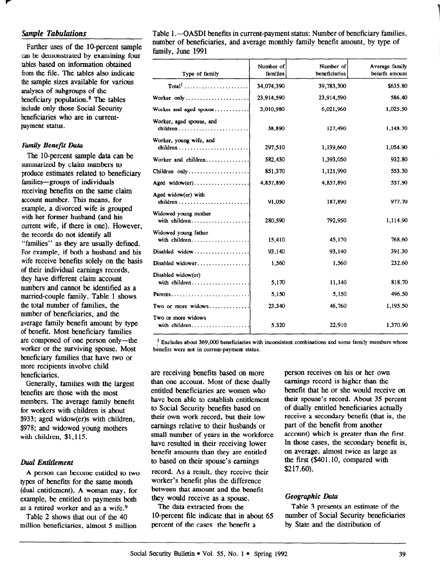## Sample Tabulations

Further uses of the lO-percent sample can be demonstrated by examining four tables based on information obtained from the file. The tables also indicate the sample sizes available for various analyses of subgroups of the beneficiary population.<sup>8</sup> The tables include only those Social Security beneficiaries who are in currentpayment status.

### Family Benefit Data

The IO-percent sample data can be sumnarized by claim numbers to produce estimates related to beneficiary families-groups of individuals receiving benefits on the same claim account number. This means, for example, a divorced wife is grouped with her former husband (and his current wife, if there is one). However, the records do not identify all "families" as they are usually defined. For example, if both a husband and his wife receive benefits solely on the basis of their individual earnings records, they have different claim account numbers and cannot be identified as a married-couple family. Table 1 shows the total number of families, the number of beneficiaries, and the average family benefit amount by type of benefit. Most beneficiary families are composed of one person only-the worker or the surviving spouse. Most beneficiary families that have two or more recipients involve child beneficiaries.

Generally, families with the largest benefits are those with the most members. The average family benefit for workers with children is about \$933; aged widow(er)s with children, \$978; and widowed young mothers with children, \$1,115.

#### Dud Entidement

A person can become entitled to two types of benefits for the same month (dual entitlement). A woman may, for example, be entitled to payments both as a retired worker and as a wife.9

Table 2 shows that out of the 40 million beneficiaries, almost 5 million Table 1.-OASDI benefits in current-payment status: Number of beneficiary families, munber of beneficiaries, and average monthly family benefit amount, by type of family, June 1991

| Type of family                        | Number of<br>families | Number of<br>beneficiaries | Average family<br>benefit amount |
|---------------------------------------|-----------------------|----------------------------|----------------------------------|
| $Total1$                              | 34,074,390            | 39,783,300                 | \$635.80                         |
| Worker only                           | 23,914,590            | 23,914,590                 | 586.40                           |
| Worker and aged spouse                | 3,010,980             | 6,021,960                  | 1,025.50                         |
| Worker, aged spouse, and<br>children  | 38,890                | 127,490                    | 1,148.70                         |
| Worker, young wife, and<br>children   | 297,510               | 1,139,660                  | 1,054.90                         |
| Worker and children                   | 582,430               | 1,393,050                  | 932.80                           |
| Children only                         | 851,370               | 1,121,990                  | 553.30                           |
| Aged widow(er)                        | 4,857,890             | 4,857,890                  | 557.90                           |
| Aged widow(er) with<br>children       | 91,050                | 187,890                    | 977.70                           |
| Widowed young mother<br>with children | 280,590               | 792,950                    | 1,114.90                         |
| Widowed young father<br>with children | 15,410                | 45,170                     | 768.60                           |
| Disabled widow                        | 93,140                | 93,140                     | 391.30                           |
| Disabled widower                      | 1,560                 | 1,560                      | 232.60                           |
| Disabled widow(er)<br>with children   | 5,170                 | 11,140                     | 818.70                           |
| Parents                               | 5,150                 | 5,150                      | 496.50                           |
| Two or more widows                    | 23,340                | 46,760                     | 1,195.50                         |
| Two or more widows                    | 5.320                 | 22,910                     | 1,370.90                         |

 $1$  Excludes about 369,000 beneficiaries with inconsistent combinations and some family members whose benefits were not in current-payment status.

are receiving benefits based on more than one account. Most of these dually entitled beneficiaries are women who have been able to establish entitlement to Social Security benefits based on their own work record, but their low earnings relative to their husbands or small number of years in the workforce have resulted in their receiving lower benefit amounts than they are entitled to based on their spouse's earnings

record. As a result, they receive their worker's benefit plus the difference between that amount and the benefit they would receive as a spouse.

lO-percent file indicate that in about 65 number of Social Security beneficiaries percent of the cases the benefit a by State and the distribution of

person receives on his or her own earnings record is higher than the benefit that he or she would receive on their spouse's record. About 35 percent of dually entitled beneficiaries actually receive a secondary benefit (that is, the part of the benefit from another account) which is greater than the first. In those cases, the secondary benefit is, on average, almost twice as large as the first (\$401.10, compared with \$217.60).

## Geographic Data

The data extracted from the Table 3 presents an estimate of the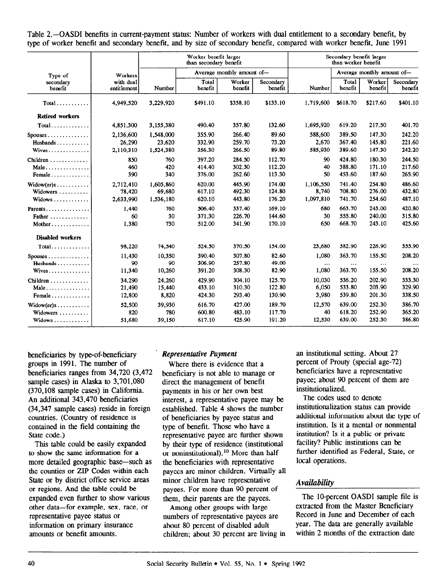Table 2.—OASDI benefits in current-payment status: Number of workers with dual entitlement to a secondary benefit, by type of worker benefit and secondary benefit, and by size of secondary benefit, compared with worker benefit, June 1991

|                                                                  |                                  |                                  | Worker benefit larger<br>than secondary benefit |                            |                            |                                 | Secondary benefit larger<br>than worker benefit |                            |                            |
|------------------------------------------------------------------|----------------------------------|----------------------------------|-------------------------------------------------|----------------------------|----------------------------|---------------------------------|-------------------------------------------------|----------------------------|----------------------------|
| Type of                                                          | Workers                          |                                  |                                                 | Average monthly amount of- |                            |                                 |                                                 | Average monthly amount of- |                            |
| secondary<br>benefit                                             | with dual<br>entitlement         | Number                           | Total<br>benefit                                | Worker<br>benefit          | Secondary<br>benefit       | Number                          | Total<br>benefit                                | Worker<br>benefit          | Secondary<br>benefit       |
| $Total \ldots \ldots \ldots$                                     | 4,949,520                        | 3,229,920                        | \$491.10                                        | \$358.10                   | \$133.10                   | 1,719,600                       | \$618.70                                        | \$217.60                   | \$401.10                   |
| <b>Retired workers</b>                                           |                                  |                                  |                                                 |                            |                            |                                 |                                                 |                            |                            |
| $Total$                                                          | 4,851,300                        | 3,155,380                        | 490.40                                          | 357.80                     | 132.60                     | 1,695,920                       | 619.20                                          | 217.50                     | 401.70                     |
| $S \text{pouses} \dots \dots \dots \dots$<br>Husbands $\ldots$ , | 2,136,600<br>26,290              | 1,548,000<br>23,620              | 355.90<br>332.90                                | 266.40<br>259.70           | 89.60<br>73.20             | 588,600<br>2,670                | 389.50<br>367.40                                | 147.30<br>145.80           | 242.20<br>221.60           |
| Wives                                                            | 2,110,310                        | 1,524,380                        | 356.30                                          | 266.50                     | 89.80                      | 585,930                         | 389.60                                          | 147.30                     | 242.20                     |
| Children<br>$Male \dots \dots \dots \dots \dots$<br>Female       | 850<br>460<br>390                | 760<br>420<br>340                | 397.20<br>414.40<br>376.00                      | 284.50<br>302.30<br>262.60 | 112.70<br>112.20<br>113.30 | 90<br>40<br>50                  | 424.80<br>388.80<br>453.60                      | 180.30<br>171.10<br>187.60 | 244.50<br>217.60<br>265.90 |
| $Widther)s$<br>Widowers<br>Widows                                | 2,712,410<br>78,420<br>2,633,990 | 1,605,860<br>69,680<br>1,536,180 | 620.00<br>617.10<br>620.10                      | 445.90<br>492.30<br>443.80 | 174.00<br>124.80<br>176.20 | 1,106,550<br>8,740<br>1,097,810 | 741.40<br>708.80<br>741.70                      | 254.80<br>276.00<br>254.60 | 486.60<br>432.80<br>487.10 |
| Parents<br>Father<br>Mother                                      | 1,440<br>60<br>1,380             | 760<br>30<br>730                 | 506.40<br>371.30<br>512.00                      | 337.40<br>226.70<br>341.90 | 169.10<br>144.60<br>170.10 | 680<br>30<br>650                | 663.70<br>555.80<br>668.70                      | 243.00<br>240.00<br>243.10 | 420.80<br>315.80<br>425.60 |
| <b>Disabled workers</b>                                          |                                  |                                  |                                                 |                            |                            |                                 |                                                 |                            |                            |
| $Total \ldots \ldots$                                            | 98,220                           | 74,540                           | 524.50                                          | 370.50                     | 154.00                     | 23,680                          | 582.90                                          | 226.90                     | 355.90                     |
| $Spouses \ldots \ldots \ldots \ldots$<br>Husbands<br>Wives       | 11.430<br>90<br>11,340           | 10,350<br>90<br>10,260           | 390.40<br>306.90<br>391.20                      | 307.80<br>257.80<br>308.30 | 82.60<br>49.00<br>82.90    | 1,080<br><br>1,080              | 363.70<br>$\cdots$<br>363.70                    | 155.50<br><br>155.50       | 208.20<br>208.20           |
| Children<br>Male<br>Female                                       | 34,290<br>21,490<br>12,800       | 24,260<br>15,440<br>8,820        | 429.90<br>433.10<br>424.30                      | 304.10<br>310.30<br>293.40 | 125.70<br>122.80<br>130.90 | 10.030<br>6,050<br>3,980        | 536.20<br>533.80<br>539.80                      | 202.90<br>203.90<br>201.30 | 333.30<br>329.90<br>338.50 |
| $Widther)s$<br>Widowers<br>Widows                                | 52,500<br>820<br>51,680          | 39,930<br>780<br>39,150          | 616.70<br>600.80<br>617.10                      | 427.00<br>483.10<br>425.90 | 189.70<br>117.70<br>191.20 | 12,570<br>40<br>12,530          | 639.00<br>618.20<br>639.00                      | 252.30<br>252.90<br>252.30 | 386.70<br>365.20<br>386.80 |

beneficiaries by type-of-beneficiary groups in 1991. The number of beneficiaries ranges from 34,720 (3,472 sample cases) in Alaska to 3,701,080 (370,108 sample cases) in California. An additional 343,470 beneficiaries (34,347 sample cases) reside in foreign countries. (Country of residence is contained in the field containing the State code.) This table could be easily expanded

this table could be easily expanded to show the same information for a<br>more detailed geographic base—such as the counties or ZIP Codes within each State or by district office service areas or regions. And the table could be expanded even further to show various cxpanucu cycli furuici to show various other data—for example, sex, representative payee status or information on primary insurance<br>amounts or benefit amounts.

## ' Representative Puyment

Where there is evidence that a beneficiary is not able to manage or direct the management of benefit payments in his or her own best interest, a representative payee may be established. Table 4 shows the number of beneficiaries by payee status and type of benefit. Those who have a representative payee are further shown by their type of residence (institutional or noninstitutional).10 More than half the beneficiaries with representative payees are minor children. Virtually all minor children have representative payees. For more than 90 percent of  $\mu$  payers. For more man  $\infty$  percents Among other groups with large

Among other groups with large numbers of representative payees are about 80 percent of disabled adult<br>children; about 30 percent are living in an institutional setting. About 27 percent of Prouty (special age-72) beneficiaries have a representative payee; about 90 percent of them are institutionalized.

The codes used to denote institutionalization status can provide additional information about the type of institution. Is it a mental or nomnental institution? Is it a public or private facility? Public institutions can be further identified as Federal, State, or local operations.

## Availabilitv

The 10-percent OASDI sample file is extracted from the Master Beneficiary Record in June and December of each year. The data are generally available within 2 months of the extraction date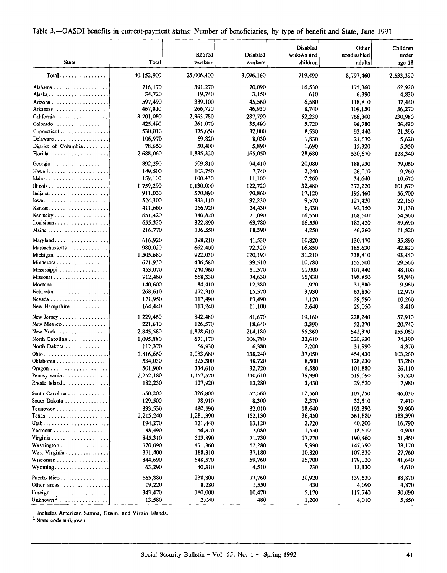| Table 3.—OASDI benefits in current-payment status: Number of beneficiaries, by type of benefit and State, June 1991 |  |  |  |  |  |  |  |  |  |  |  |  |  |
|---------------------------------------------------------------------------------------------------------------------|--|--|--|--|--|--|--|--|--|--|--|--|--|
|---------------------------------------------------------------------------------------------------------------------|--|--|--|--|--|--|--|--|--|--|--|--|--|

|                                                   |                     |                     |                     | Disabled               | Other                 | Children         |
|---------------------------------------------------|---------------------|---------------------|---------------------|------------------------|-----------------------|------------------|
| <b>State</b>                                      | Total               | Retired<br>workers  | Disabled<br>workers | widows and<br>children | nondisabled<br>adults | under<br>age 18  |
|                                                   |                     |                     |                     |                        |                       |                  |
| $Total \dots \dots \dots \dots \dots$             | 40,152,900          | 25,006,400          | 3,096,160           | 719,490                | 8,797,460             | 2,533,390        |
|                                                   | 716,170             | 391,270             | 70,090              | 16,530                 | 175,360               | 62,920           |
|                                                   | 34,720              | 19,740              | 3,150               | 610                    | 6,390                 | 4,830            |
| Arizona                                           | 597,490             | 389,100             | 45,560              | 6,580                  | 118,810               | 37,440           |
| Arkansas                                          | 467,810             | 266,720             | 46,930              | 8,740                  | 109,150               | 36,270           |
| California                                        | 3,701,080           | 2,363,780           | 287,790             | 52,230                 | 766,300               | 230,980          |
|                                                   | 425,490             | 261,070             | 35,490              | 5,720                  | 96,780                | 26,430           |
| Connecticut                                       | 530,010             | 375,650             | 32,000              | 8,530                  | 92,440                | 21,390           |
| Delaware                                          | 106,970             | 69,820              | 8,030               | 1,830                  | 21,670                | 5,620            |
| District of Columbia                              | 78,650<br>2,688,060 | 50,400<br>1,835,320 | 5,890<br>165,050    | 1,690<br>28,680        | 15,320<br>530,670     | 5,350<br>128,340 |
|                                                   |                     |                     |                     |                        |                       |                  |
| Georgia                                           | 892,290<br>149,500  | 509,810<br>103,750  | 94,410<br>7,740     | 20,080<br>2,240        | 188,930               | 79,060           |
| Idaho                                             | 159,100             | 100,430             | 11,100              | 2,260                  | 26,010<br>34,640      | 9,760<br>10,670  |
|                                                   | 1,759,290           | 1,130,000           | 122,720             | 32,480                 | 372,220               | 101,870          |
| Indiana                                           | 911,030             | 570,890             | 70,860              | 17,120                 | 195,460               | 56,700           |
| $Iowa$                                            | 524,300             | 333,110             | 32,230              | 9,570                  | 127,420               | 22,150           |
| Kansas                                            | 411,660             | 266,920             | 24,430              | 6,430                  | 92,750                | 21,130           |
| Kentucky                                          | 651,420             | 340,820             | 71,090              | 16,550                 | 168,600               | 54,360           |
| Louisiana                                         | 655,330             | 322,890             | 63,780              | 16,550                 | 182,420               | 69,690           |
| Maine $\dots \dots \dots \dots \dots \dots \dots$ | 216,770             | 136,550             | 18,390              | 4,250                  | 46,260                | 11,320           |
| $Mary$ land $\ldots \ldots \ldots \ldots \ldots$  | 616.920             | 398,210             | 41,530              | 10,820                 | 130,470               | 35,890           |
| Massachussetts                                    | 980,020             | 662,400             | 72,320              | 16,850                 | 185,630               | 42,820           |
| Michigan                                          | 1,505,680           | 922,030             | 120,190             | 31,210                 | 338,810               | 93,440           |
| Minnesota                                         | 671,930             | 436,580             | 39,510              | 10,780                 | 155,500               | 29,560           |
| Mississippi                                       | 453,070             | 240,960             | 51,570              | 11,000                 | 101,440               | 48,100           |
|                                                   | 912,480             | 568,330             | 74,630              | 15,830                 | 198,850               | 54,840           |
| Montana                                           | 140,600             | 84,410              | 12,380              | 1,970                  | 31,880                | 9,960            |
|                                                   | 268,610             | 172,310             | 15,570              | 3,930                  | 63,830                | 12,970           |
|                                                   | 171,950             | 117,490             | 13,490              | 1,120                  | 29,590                | 10,260           |
| New Hampshire                                     | 164,440             | 113,240             | 11,100              | 2,640                  | 29,050                | 8,410            |
| New Jersey                                        | 1,229,460           | 842,480             | 81,670              | 19,160                 | 228,240               | 57,910           |
| New Mexico                                        | 221,610             | 126,570             | 18,640              | 3,390                  | 52,270                | 20,740           |
| New York                                          | 2,845,580           | 1,878,610           | 214,180             | 55,360                 | 542,370               | 155,060          |
| North Carolina                                    | 1,095,880           | 671,170             | 106,780             | 22,610                 | 220,930               | 74,390           |
| North Dakota                                      | 112,370             | 66,930              | 6,380               | 2,200                  | 31,990                | 4,870            |
|                                                   | 1,816,660           | 1,083,680           | 138,240             | 37,050                 | 454,430               | 103,260          |
| Oklahoma                                          | 534,030             | 325,300             | 38,720              | 8,500                  | 128,230               | 33,280           |
|                                                   | 501,900             | 334,610             | 32,720              | 6,580                  | 101,880               | 26,110           |
| Pennsylvania                                      | 2,252,180           | 1,457,570           | 140,610             | 39,390                 | 519,090               | 95,520           |
| Rhode Island                                      | 182,230             | 127,920             | 13,280              | 3,430                  | 29,620                | 7,980            |
| South Carolina                                    | 550,200             | 326,800             | 57,560              | 12,560                 | 107,250               | 46,030           |
| South Dakota                                      | 129,500             | 78,910              | 8,300               | 2,370                  | 32,510                | 7,410            |
|                                                   | 833,530             | 480,590             | 82,010              | 18,640                 | 192,390               | 59,900           |
| Texas                                             | 2,215,240           | 1,281,390           | 152,130             | 36,450                 | 561,880               | 183,390          |
| Utah                                              | 194,270             | 121,440             | 13,120              | 2,720                  | 40,200                | 16,790           |
| $Vermont$                                         | 88,490              | 56,370              | 7,080               | 1,530                  | 18,610                | 4,900            |
| Virginia                                          | 845,310             | 513,890             | 71,730              | 17,770                 | 190,460               | 51,460           |
| Washington                                        | 720,090             | 471,860             | 52,280              | 9,990                  | 147,790               | 38,170           |
| West Virginia                                     | 371,400             | 188,310             | 37,180              | 10,820                 | 107,330               | 27,760           |
| Wisconsin                                         | 844,690             | 548,570             | 59,760              | 15,700                 | 179,020               | 41,640           |
| Wyoming                                           | 63,290              | 40,310              | 4,510               | 730                    | 13,130                | 4,610            |
| Puerto Rico                                       | 565,880             | 238,800             | 77,760              | 20,920                 | 139,530               | 88,870           |
| Other areas $1, \ldots, \ldots, \ldots, \ldots$   | 19,220              | 8,280               | 1,550               | 430                    | 4,090                 | 4,870            |
|                                                   | 343,470             | 180,000             | 10,470              | 5,170                  | 117,740               | 30,090           |
| Unknown <sup>2</sup>                              | 13,580              | 2,040               | 480                 | 1,200                  | 4,010                 | 5,850            |

<sup>1</sup> Includes American Samoa, Guam, and Virgin Islands.<br><sup>2</sup> State code unknown.

Social Security Bulland Security Bulland and Security Bulland and Security Bulland and Security Bulland and Se<br>Security Bulland and Security Bulland and Security Bulland and Security Bulland and Security Bulland and Securi